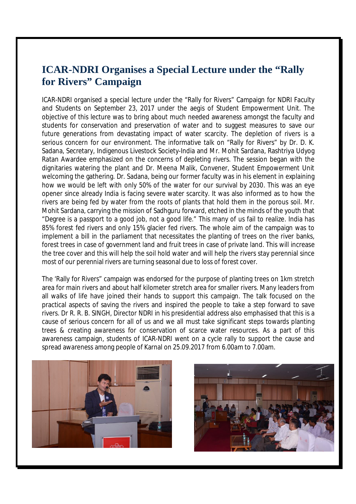## **ICAR-NDRI Organises a Special Lecture under the "Rally for Rivers" Campaign**

ICAR-NDRI organised a special lecture under the "Rally for Rivers" Campaign for NDRI Faculty and Students on September 23, 2017 under the aegis of Student Empowerment Unit. The objective of this lecture was to bring about much needed awareness amongst the faculty and students for conservation and preservation of water and to suggest measures to save our future generations from devastating impact of water scarcity. The depletion of rivers is a serious concern for our environment. The informative talk on "Rally for Rivers" by Dr. D. K. Sadana, Secretary, Indigenous Livestock Society-India and Mr. Mohit Sardana, Rashtriya Udyog Ratan Awardee emphasized on the concerns of depleting rivers. The session began with the dignitaries watering the plant and Dr. Meena Malik, Convener, Student Empowerment Unit welcoming the gathering. Dr. Sadana, being our former faculty was in his element in explaining how we would be left with only 50% of the water for our survival by 2030. This was an eye opener since already India is facing severe water scarcity. It was also informed as to how the rivers are being fed by water from the roots of plants that hold them in the porous soil. Mr. Mohit Sardana, carrying the mission of Sadhguru forward, etched in the minds of the youth that "Degree is a passport to a good job, not a good life." This many of us fail to realize. India has 85% forest fed rivers and only 15% glacier fed rivers. The whole aim of the campaign was to implement a bill in the parliament that necessitates the planting of trees on the river banks, forest trees in case of government land and fruit trees in case of private land. This will increase the tree cover and this will help the soil hold water and will help the rivers stay perennial since most of our perennial rivers are turning seasonal due to loss of forest cover.

The 'Rally for Rivers" campaign was endorsed for the purpose of planting trees on 1km stretch area for main rivers and about half kilometer stretch area for smaller rivers. Many leaders from all walks of life have joined their hands to support this campaign. The talk focused on the practical aspects of saving the rivers and inspired the people to take a step forward to save rivers. Dr R. R. B. SINGH, Director NDRI in his presidential address also emphasised that this is a cause of serious concern for all of us and we all must take significant steps towards planting trees & creating awareness for conservation of scarce water resources. As a part of this awareness campaign, students of ICAR-NDRI went on a cycle rally to support the cause and spread awareness among people of Karnal on 25.09.2017 from 6.00am to 7.00am.